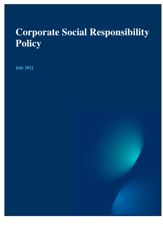# **Corporate Social Responsibility Policy**

**July 2021**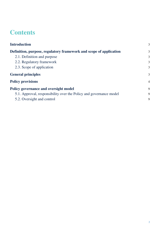# **Contents**

| <b>Introduction</b>                                                | 3              |
|--------------------------------------------------------------------|----------------|
| Definition, purpose, regulatory framework and scope of application | 3              |
| 2.1. Definition and purpose                                        | 3              |
| 2.2. Regulatory framework                                          | 3              |
| 2.3. Scope of application                                          | 3              |
| <b>General principles</b>                                          | 3              |
| <b>Policy provisions</b>                                           | $\overline{4}$ |
| <b>Policy governance and oversight model</b>                       | 9              |
| 5.1. Approval, responsibility over the Policy and governance model | 9              |
| 5.2. Oversight and control                                         | 9              |
|                                                                    |                |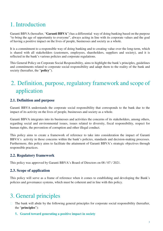# 1. Introduction

Garanti BBVA (hereafter, "**Garanti BBVA**") has a differential way of doing banking based on the purpose "to bring the age of opportunity to everyone", always acting in line with its corporate values and the goal of having a positive impact on the lives of people, businesses and society as a whole.

It is a commitment to a responsible way of doing banking and to creating value over the long-term, which is shared with all stakeholders (customers, employees, shareholders, suppliers and society), and it is reflected in the bank's various policies and corporate regulations.

This General Policy on Corporate Social Responsibility, aims to highlight the bank's principles, guidelines and commitments related to corporate social responsibility and adapt them to the reality of the bank and society (hereafter, the "**policy**").

# 2. Definition, purpose, regulatory framework and scope of application

### **2.1. Definition and purpose**

Garanti BBVA understands the corporate social responsibility that corresponds to the bank due to the impact of its activity on the lives of people, businesses and society as a whole.

Garanti BBVA integrates into its businesses and activities the concerns of its stakeholders, among others, regarding social and environmental issues, issues related to diversity, fiscal responsibility, respect for human rights, the prevention of corruption and other illegal conduct.

This policy aims to create a framework of reference to take into consideration the impact of Garanti BBVA's activity in those concerns within the bank's policies, standards and decision-making processes. Furthermore, this policy aims to facilitate the attainment of Garanti BBVA's strategic objectives through responsible practices.

### **2.2. Regulatory framework**

This policy was approved by Garanti BBVA's Board of Directors on 08 / 07 / 2021.

### **2.3. Scope of application**

This policy will serve as a frame of reference when it comes to establishing and developing the Bank's policies and governance systems, which must be coherent and in line with this policy.

# 3. General principles

- $\Box$  The bank will abide by the following general principles for corporate social responsibility (hereafter, the "**principles**"):
	- **1. Geared toward generating a positive impact in society**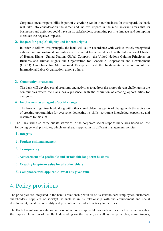Corporate social responsibility is part of everything we do in our business. In this regard, the bank will take into consideration the direct and indirect impact in the most relevant areas that its businesses and activities could have on its stakeholders, promoting positive impacts and attempting to reduce the negative impacts.

#### **2. Respect for people's dignity and inherent rights**

In order to follow this principle, the bank will act in accordance with various widely recognized national and international commitments to which it has adhered, such as the International Charter of Human Rights, United Nations Global Compact, the United Nations Guiding Principles on Business and Human Rights, the Organization for Economic Cooperation and Development (OECD) Guidelines for Multinational Enterprises, and the fundamental conventions of the International Labor Organization, among others.

#### **3. Community investment**

The bank will develop social programs and activities to address the more relevant challenges in the communities where the Bank has a presence, with the aspiration of creating opportunities for everyone.

#### **4. Involvement as an agent of social change**

The bank will get involved, along with other stakeholders, as agents of change with the aspiration of creating opportunities for everyone, dedicating its skills, corporate knowledge, capacities, and resources to this aim.

 $\Box$  The Bank will also carry out its activities in the corporate social responsibility area based on the following general principles, which are already applied in its different management policies:

#### **1. Integrity**

- **2. Prudent risk management**
- **3. Transparency**
- **4. Achievement of a profitable and sustainable long-term business**
- **5. Creating long-term value for all stakeholders**
- **6. Compliance with applicable law at any given time**

# 4. Policy provisions

The principles are integrated in the bank's relationship with all of its stakeholders (employees, customers, shareholders, suppliers or society), as well as in its relationship with the environment and social development, fiscal responsibility and prevention of conduct contrary to the rules.

The Bank has internal regulation and executive areas responsible for each of these fields , which regulate the responsible action of the Bank depending on the matter, as well as the principles, commitments,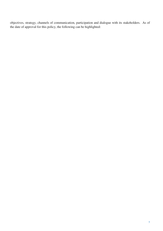objectives, strategy, channels of communication, participation and dialogue with its stakeholders. As of the date of approval for this policy, the following can be highlighted: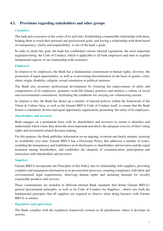### **4.1. Provisions regarding stakeholders and other groups**

#### *Customers*

The bank puts customers at the center of its activities. Establishing a responsible relationship with them, helping them to reach their personal and professional goals, and having a relationship with them based on transparency, clarity and responsibility is one of the bank's goals.

In order to attain this goal, the bank has established various internal regulations, the most important regulation being: the Code of Conduct, which is applicable to all bank employees and aims to regulate fundamental aspects of our relationship with customers.

#### *Employees*

In relation to its employees, the Bank has a fundamental commitment to human rights, diversity, the promotion of equal opportunities, as well as to preventing discrimination on the basis of gender, color, ethnic origin, disability, religion, sexual orientation or political opinions.

The Bank also promotes professional development by fostering the improvement of skills and competencies of its employees, promotes work-life balance practices and nurtures a culture of social and environmental commitment, facilitating the conditions for carrying out volunteering actions.

In relation to this, the Bank has drawn up a number of internal policies within the framework of the Talent & Culture Area, as well as the Garanti BBVA Code of Conduct itself, to ensure that the Bank fosters a committed, diverse and equal-opportunity organization, promoting the safety of its employees.

#### *Shareholders and investors*

Bank engages on a permanent basis with its shareholders and investors to ensure it identifies and understands which issues they deem the most important and allows the adequate exercise of their voting rights and investment-related decision-making.

For this purpose, the Bank publishes information on an ongoing, recurrent and timely manner, ensuring its availability over time. Garanti BBVA has a Disclosure Policy that addresses a number of issues, including the transparency and truthfulness in its disclosures to shareholders and investors and the equal treatment among shareholders, and establishes the channels of communication, participation and interaction with shareholders and investors.

#### *Suppliers*

Garanti BBVA incorporates the Principles of this Policy into its relationship with suppliers, providing complete and transparent information in its procurement processes, ensuring compliance with labor and environmental legal requirements, observing human rights and nurturing demand for socially responsible products and services.

These commitments are included in different internal Bank standards that define Garanti BBVA's general procurement principles, as well as its Code of Conduct for Suppliers , which sets forth the fundamental principles that all suppliers are required to observe when doing business with Garanti BBVA or entities.

#### *Regulators and supervisors*

The Bank complies with the regulatory framework existent in all jurisdictions where it develops its activity.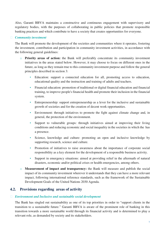Also, Garanti BBVA maintains a constructive and continuous engagement with supervisory and regulatory bodies, with the purposes of collaborating in public policies that promote responsible banking practices and which contribute to have a society that creates opportunities for everyone.

#### *Community investment*

The Bank will promote the development of the societies and communities where it operates, fostering the investment, contribution and participation in community investment activities, in accordance with the following general guidelines:

- o **Priority areas of action:** the Bank will preferably concentrate its community investment initiatives in the areas stated below. However, it may choose to focus on different ones in the future, as long as they remain true to this community investment purpose and follow the general principles described in section 3:
	- Education: support a connected education for all, promoting access to education, educational quality and the instruction and training of adults and teachers.
	- Financial education: promotion of traditional or digital financial education and financial training, to improve people's financial health and promote their inclusion in the financial system.
	- Entrepreneurship: support entrepreneurship as a lever for the inclusive and sustainable growth of societies and for the creation of decent work opportunities.
	- Environment: through initiatives to promote the fight against climate change and, in general, the protection of the environment.
	- Support to vulnerable groups: through initiatives aimed at improving their living conditions and reducing economic and social inequality in the societies in which the has a presence.
	- Science, knowledge and culture: promoting an open and inclusive knowledge by supporting research, science and culture.
	- Promotion of initiatives to raise awareness about the importance of corporate social responsibility as a key element for the development of a responsible business activity.
	- Support in emergency situations: aimed at providing relief in the aftermath of natural disasters, economic and/or political crises or health emergencies, among others.
- o **Measurement of impact and transparency:** the Bank will measure and publish the social impact of its community investment wherever it understands that they can have a more relevant impact, following international reference standards, such as the framework of the Sustainable Development Goals of the United Nations 2030 Agenda.

#### **4.2. Provisions regarding areas of activity**

#### *Environment and Inclusive and sustainable social development*

The Bank has singled out sustainability as one of its top priorities in order to "support clients in the transition to a sustainable future." Garanti BBVA is aware of the prominent role of banking in this transition towards a more sustainable world through its financial activity and is determined to play a relevant role, as demanded by society and its stakeholders.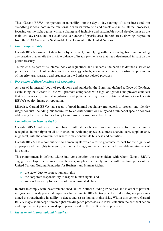Thus, Garanti BBVA incorporates sustainability into the day-to-day running of its business and into everything it does, both in the relationship with its customers and clients and in its internal processes, focusing on the fight against climate change and inclusive and sustainable social development as the main two key areas, and has established a number of priority areas in both areas, drawing inspiration from the 2030 Agenda for Sustainable Development of the United Nations.

#### *Fiscal responsibility*

Garanti BBVA carries out its activity by adequately complying with its tax obligations and avoiding any practice that entails the illicit avoidance of its tax payments or that has a detrimental impact on the public treasury.

To this end, as part of its internal body of regulations and standards, the bank has defined a series of principles in the field of taxation and fiscal strategy, which, among other issues, prioritize the promotion of integrity, transparency and prudence in the Bank's tax-related practices.

#### *Prevention of illegal conduct and corruption*

As part of its internal body of regulations and standards, the Bank has defined a Code of Conduct, establishing that Garanti BBVA will promote compliance with legal obligations and prevent conducts that are contrary to internal regulations and policies or may have a detrimental impact on Garanti BBVA's equity, image or reputation.

Likewise, Garanti BBVA has set up a broad internal regulatory framework to prevent and identify illegal conduct, including, but not limited to, an Anti-corruption Policy and a number of specific policies addressing the main activities likely to give rise to corruption-related risks.

#### *Commitment to Human Rights*

Garanti BBVA will ensure compliance with all applicable laws and respect for internationally recognized human rights in all its interactions with employees, customers, shareholders, suppliers and, in general, with the communities where it may conduct its business and activities.

Garanti BBVA has a commitment to human rights which aims to guarantee respect for the dignity of all people and the rights inherent to all human beings, and which are an indispensable requirement of its actions.

This commitment is defined taking into consideration the stakeholders with whom Garanti BBVA engages: employees, customers, shareholders, suppliers or society, in line with the three pillars of the United Nations Guiding Principles for Business and Human Rights:

- o the state' duty to protect human rights
- o the corporate responsibility to respect human rights; and
- o Access to remedy for victims of business-related abuses

In order to comply with the aforementioned United Nations Guiding Principles, and in order to prevent, mitigate and remedy potential impacts on human rights, BBVA Group performs due diligence processes aimed at strengthening its ability to detect and assess human rights risks. Within this context, Garanti BBVA may also undergo human rights due diligence processes and it will establish the pertinent action and improvement plans deemed appropriate based on the result of these processes.

#### *Involvement in international initiatives*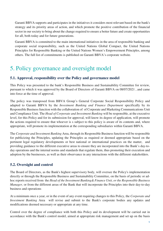Garanti BBVA supports and participates in the initiatives it considers most relevant based on the bank's strategy and its priority areas of action, and which promote the positive contribution of the financial sector in our society to bring about the change required to ensure a better future and create opportunities for all, both today and for future generations.

Garanti BBVA is committed to the main international initiatives in the area of responsible banking and corporate social responsibility, such as the United Nations Global Compact, the United Nations Principles for Responsible Banking or the United Nations Women's Empowerment Principles, among others. The full list of commitments is published on Garanti BBVA's corporate website.

# 5. Policy governance and oversight model

### **5.1. Approval, responsibility over the Policy and governance model**

This Policy was presented to the bank's Responsible Business and Sustainability Committee for review, pursuant to which it was approved by the Board of Directors of Garanti BBVA on 08/07/2021 , and came into force at the time of approval.

The policy was transposed from BBVA Group's General Corporate Social Responsibility Policy and adapted to Garanti BBVA by the *Investment Banking and Finance Department* specifically by its Responsible Business function with the collaboration of of Corporate and Marketing Communications Unit and Compliance Unit. The *Head of Corporate and Investment Banking* will be responsible, at the executive level, for this Policy and for its submission for approval, will know its degree of application, will promote the actions required to ensure that whoever is s subject to this policy is aware of its contents and, where appropriate, will promote its implementation at the corresponding subsidiaries within Garanti BBVA.

The *Corporate and Investment Banking* Area, through its Responsible Business function will be responsible for publicizing the Principles, updating the Principles as required or deemed appropriate based on the pertinent legal regulatory developments or best national or international practices on the matter, and providing guidance to the different executive areas to ensure they are incorporated into the Bank's day-today operations and the internal norms and standards that regulate them, thus promoting their execution and adoption by the businesses, as well as their observance in any interactions with the different stakeholders.

### **5.2. Oversight and control**

The Board of Directors, as the Bank's highest supervisory body, will oversee the Policy's implementation directly or through the Responsible Business and Sustainability Committee, on the basis of periodic or adhoc reports received from the *Head of the Investment Banking& Finance Unit, or the Responsible Business Manager*, or from the different areas of the Bank that will incorporate the Principles into their day-to-day business and operations

At a minimum once a year, or in the event of any event requiring changes to this Policy, the *Corporate and Investment Banking* Area will revise and submit to the Bank's corporate bodies any updates and modifications deemed necessary or appropriate at any time.

Control over the degree of compliance with both this Policy and its development will be carried out in accordance with the Bank's control model, aimed at appropriate risk management and set up on the basis